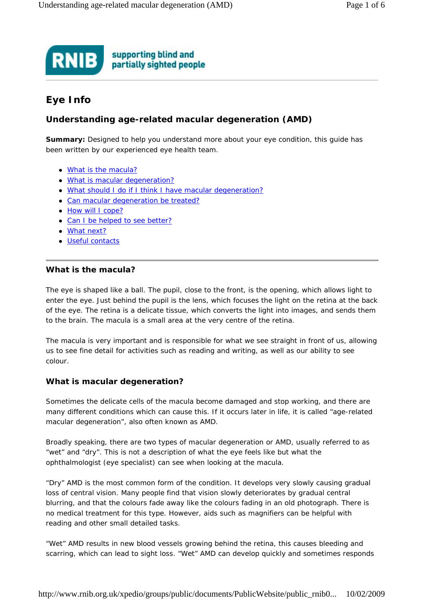#### supporting blind and **RNIB** partially sighted people

# **Eye Info**

## **Understanding age-related macular degeneration (AMD)**

**Summary:** Designed to help you understand more about your eye condition, this guide has been written by our experienced eye health team.

- What is the macula?
- What is macular degeneration?
- What should I do if I think I have macular degeneration?
- Can macular degeneration be treated?
- How will I cope?
- Can I be helped to see better?
- What next?
- Useful contacts

## **What is the macula?**

The eye is shaped like a ball. The pupil, close to the front, is the opening, which allows light to enter the eye. Just behind the pupil is the lens, which focuses the light on the retina at the back of the eye. The retina is a delicate tissue, which converts the light into images, and sends them to the brain. The macula is a small area at the very centre of the retina.

The macula is very important and is responsible for what we see straight in front of us, allowing us to see fine detail for activities such as reading and writing, as well as our ability to see colour.

## **What is macular degeneration?**

Sometimes the delicate cells of the macula become damaged and stop working, and there are many different conditions which can cause this. If it occurs later in life, it is called "age-related macular degeneration", also often known as AMD.

Broadly speaking, there are two types of macular degeneration or AMD, usually referred to as "wet" and "dry". This is not a description of what the eye feels like but what the ophthalmologist (eye specialist) can see when looking at the macula.

"Dry" AMD is the most common form of the condition. It develops very slowly causing gradual loss of central vision. Many people find that vision slowly deteriorates by gradual central blurring, and that the colours fade away like the colours fading in an old photograph. There is no medical treatment for this type. However, aids such as magnifiers can be helpful with reading and other small detailed tasks.

"Wet" AMD results in new blood vessels growing behind the retina, this causes bleeding and scarring, which can lead to sight loss. "Wet" AMD can develop quickly and sometimes responds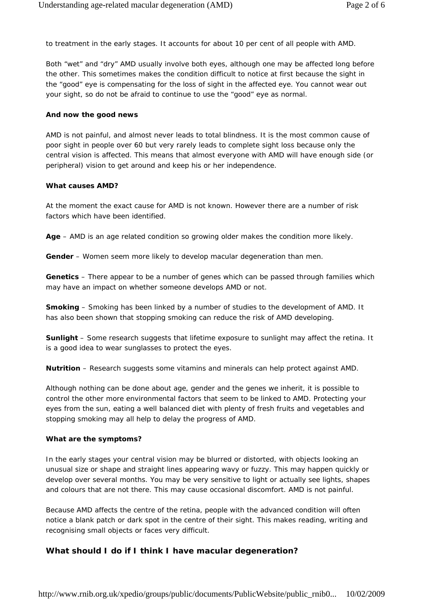to treatment in the early stages. It accounts for about 10 per cent of all people with AMD.

Both "wet" and "dry" AMD usually involve both eyes, although one may be affected long before the other. This sometimes makes the condition difficult to notice at first because the sight in the "good" eye is compensating for the loss of sight in the affected eye. You cannot wear out your sight, so do not be afraid to continue to use the "good" eye as normal.

#### **And now the good news**

AMD is not painful, and almost never leads to total blindness. It is the most common cause of poor sight in people over 60 but very rarely leads to complete sight loss because only the central vision is affected. This means that almost everyone with AMD will have enough side (or peripheral) vision to get around and keep his or her independence.

### **What causes AMD?**

At the moment the exact cause for AMD is not known. However there are a number of risk factors which have been identified.

**Age** – AMD is an age related condition so growing older makes the condition more likely.

**Gender** – Women seem more likely to develop macular degeneration than men.

**Genetics** – There appear to be a number of genes which can be passed through families which may have an impact on whether someone develops AMD or not.

**Smoking** – Smoking has been linked by a number of studies to the development of AMD. It has also been shown that stopping smoking can reduce the risk of AMD developing.

**Sunlight** – Some research suggests that lifetime exposure to sunlight may affect the retina. It is a good idea to wear sunglasses to protect the eyes.

**Nutrition** – Research suggests some vitamins and minerals can help protect against AMD.

Although nothing can be done about age, gender and the genes we inherit, it is possible to control the other more environmental factors that seem to be linked to AMD. Protecting your eyes from the sun, eating a well balanced diet with plenty of fresh fruits and vegetables and stopping smoking may all help to delay the progress of AMD.

#### **What are the symptoms?**

In the early stages your central vision may be blurred or distorted, with objects looking an unusual size or shape and straight lines appearing wavy or fuzzy. This may happen quickly or develop over several months. You may be very sensitive to light or actually see lights, shapes and colours that are not there. This may cause occasional discomfort. AMD is not painful.

Because AMD affects the centre of the retina, people with the advanced condition will often notice a blank patch or dark spot in the centre of their sight. This makes reading, writing and recognising small objects or faces very difficult.

## **What should I do if I think I have macular degeneration?**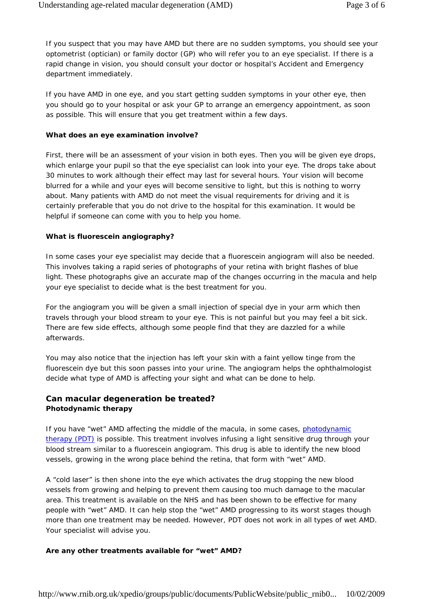If you suspect that you may have AMD but there are no sudden symptoms, you should see your optometrist (optician) or family doctor (GP) who will refer you to an eye specialist. If there is a rapid change in vision, you should consult your doctor or hospital's Accident and Emergency department immediately.

If you have AMD in one eye, and you start getting sudden symptoms in your other eye, then you should go to your hospital or ask your GP to arrange an emergency appointment, as soon as possible. This will ensure that you get treatment within a few days.

#### **What does an eye examination involve?**

First, there will be an assessment of your vision in both eyes. Then you will be given eye drops, which enlarge your pupil so that the eye specialist can look into your eye. The drops take about 30 minutes to work although their effect may last for several hours. Your vision will become blurred for a while and your eyes will become sensitive to light, but this is nothing to worry about. Many patients with AMD do not meet the visual requirements for driving and it is certainly preferable that you do not drive to the hospital for this examination. It would be helpful if someone can come with you to help you home.

#### **What is fluorescein angiography?**

In some cases your eye specialist may decide that a fluorescein angiogram will also be needed. This involves taking a rapid series of photographs of your retina with bright flashes of blue light. These photographs give an accurate map of the changes occurring in the macula and help your eye specialist to decide what is the best treatment for you.

For the angiogram you will be given a small injection of special dye in your arm which then travels through your blood stream to your eye. This is not painful but you may feel a bit sick. There are few side effects, although some people find that they are dazzled for a while afterwards.

You may also notice that the injection has left your skin with a faint yellow tinge from the fluorescein dye but this soon passes into your urine. The angiogram helps the ophthalmologist decide what type of AMD is affecting your sight and what can be done to help.

## **Can macular degeneration be treated? Photodynamic therapy**

If you have "wet" AMD affecting the middle of the macula, in some cases, photodynamic therapy (PDT) is possible. This treatment involves infusing a light sensitive drug through your blood stream similar to a fluorescein angiogram. This drug is able to identify the new blood vessels, growing in the wrong place behind the retina, that form with "wet" AMD.

A "cold laser" is then shone into the eye which activates the drug stopping the new blood vessels from growing and helping to prevent them causing too much damage to the macular area. This treatment is available on the NHS and has been shown to be effective for many people with "wet" AMD. It can help stop the "wet" AMD progressing to its worst stages though more than one treatment may be needed. However, PDT does not work in all types of wet AMD. Your specialist will advise you.

#### **Are any other treatments available for "wet" AMD?**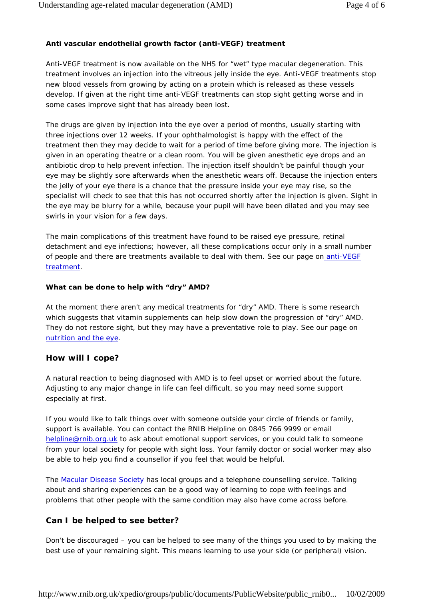### **Anti vascular endothelial growth factor (anti-VEGF) treatment**

Anti-VEGF treatment is now available on the NHS for "wet" type macular degeneration. This treatment involves an injection into the vitreous jelly inside the eye. Anti-VEGF treatments stop new blood vessels from growing by acting on a protein which is released as these vessels develop. If given at the right time anti-VEGF treatments can stop sight getting worse and in some cases improve sight that has already been lost.

The drugs are given by injection into the eye over a period of months, usually starting with three injections over 12 weeks. If your ophthalmologist is happy with the effect of the treatment then they may decide to wait for a period of time before giving more. The injection is given in an operating theatre or a clean room. You will be given anesthetic eye drops and an antibiotic drop to help prevent infection. The injection itself shouldn't be painful though your eye may be slightly sore afterwards when the anesthetic wears off. Because the injection enters the jelly of your eye there is a chance that the pressure inside your eye may rise, so the specialist will check to see that this has not occurred shortly after the injection is given. Sight in the eye may be blurry for a while, because your pupil will have been dilated and you may see swirls in your vision for a few days.

The main complications of this treatment have found to be raised eye pressure, retinal detachment and eye infections; however, all these complications occur only in a small number of people and there are treatments available to deal with them. See our page on anti-VEGF treatment.

#### **What can be done to help with "dry" AMD?**

At the moment there aren't any medical treatments for "dry" AMD. There is some research which suggests that vitamin supplements can help slow down the progression of "dry" AMD. They do not restore sight, but they may have a preventative role to play. See our page on nutrition and the eye.

#### **How will I cope?**

A natural reaction to being diagnosed with AMD is to feel upset or worried about the future. Adjusting to any major change in life can feel difficult, so you may need some support especially at first.

If you would like to talk things over with someone outside your circle of friends or family, support is available. You can contact the RNIB Helpline on 0845 766 9999 or email helpline@rnib.org.uk to ask about emotional support services, or you could talk to someone from your local society for people with sight loss. Your family doctor or social worker may also be able to help you find a counsellor if you feel that would be helpful.

The Macular Disease Society has local groups and a telephone counselling service. Talking about and sharing experiences can be a good way of learning to cope with feelings and problems that other people with the same condition may also have come across before.

## **Can I be helped to see better?**

Don't be discouraged – you can be helped to see many of the things you used to by making the best use of your remaining sight. This means learning to use your side (or peripheral) vision.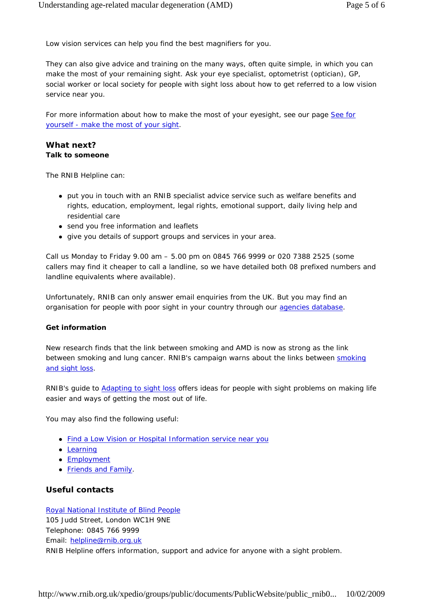Low vision services can help you find the best magnifiers for you.

They can also give advice and training on the many ways, often quite simple, in which you can make the most of your remaining sight. Ask your eye specialist, optometrist (optician), GP, social worker or local society for people with sight loss about how to get referred to a low vision service near you.

For more information about how to make the most of your eyesight, see our page See for yourself - make the most of your sight.

#### **What next? Talk to someone**

The RNIB Helpline can:

- put you in touch with an RNIB specialist advice service such as welfare benefits and rights, education, employment, legal rights, emotional support, daily living help and residential care
- send you free information and leaflets
- give you details of support groups and services in your area.

Call us Monday to Friday 9.00 am – 5.00 pm on 0845 766 9999 or 020 7388 2525 (some callers may find it cheaper to call a landline, so we have detailed both 08 prefixed numbers and landline equivalents where available).

Unfortunately, RNIB can only answer email enquiries from the UK. But you may find an organisation for people with poor sight in your country through our agencies database.

#### **Get information**

New research finds that the link between smoking and AMD is now as strong as the link between smoking and lung cancer. RNIB's campaign warns about the links between smoking and sight loss.

RNIB's guide to Adapting to sight loss offers ideas for people with sight problems on making life easier and ways of getting the most out of life.

You may also find the following useful:

- Find a Low Vision or Hospital Information service near you
- Learning
- Employment
- Friends and Family.

## **Useful contacts**

Royal National Institute of Blind People 105 Judd Street, London WC1H 9NE Telephone: 0845 766 9999 Email: helpline@rnib.org.uk RNIB Helpline offers information, support and advice for anyone with a sight problem.